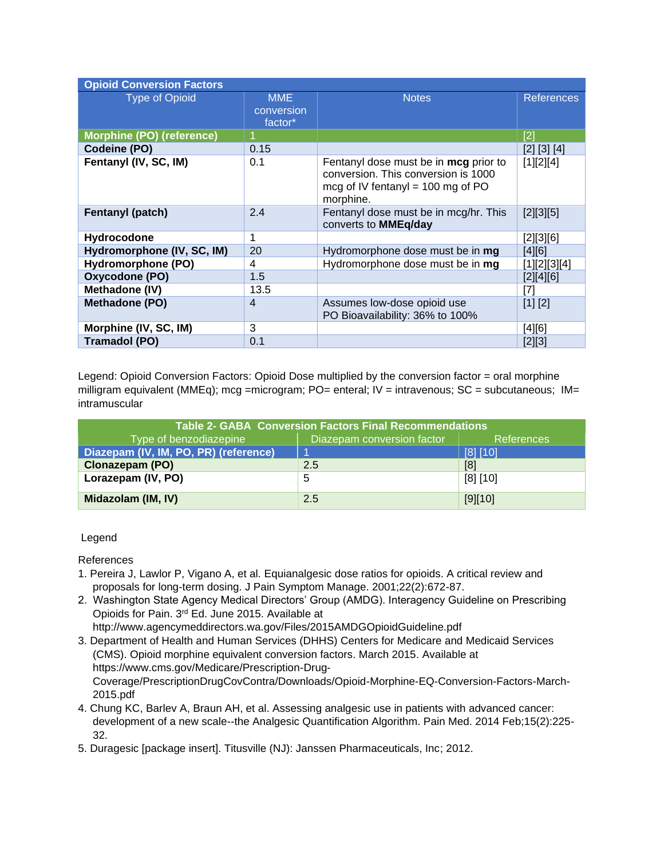| <b>Opioid Conversion Factors</b> |                                                 |                                                                                                                                          |                   |  |
|----------------------------------|-------------------------------------------------|------------------------------------------------------------------------------------------------------------------------------------------|-------------------|--|
| <b>Type of Opioid</b>            | <b>MME</b><br>conversion<br>factor <sup>*</sup> | <b>Notes</b>                                                                                                                             | <b>References</b> |  |
| Morphine (PO) (reference)        |                                                 |                                                                                                                                          | [2]               |  |
| Codeine (PO)                     | 0.15                                            |                                                                                                                                          | [2] [3] [4]       |  |
| Fentanyl (IV, SC, IM)            | 0.1                                             | Fentanyl dose must be in mcg prior to<br>conversion. This conversion is 1000<br>mcg of IV fentanyl = $100 \text{ mg}$ of PO<br>morphine. | [1][2][4]         |  |
| Fentanyl (patch)                 | 2.4                                             | Fentanyl dose must be in mcg/hr. This<br>converts to <b>MMEq/day</b>                                                                     | $[2][3][5]$       |  |
| Hydrocodone                      | 1                                               |                                                                                                                                          | [2][3][6]         |  |
| Hydromorphone (IV, SC, IM)       | 20                                              | Hydromorphone dose must be in mg                                                                                                         | [4][6]            |  |
| Hydromorphone (PO)               | 4                                               | Hydromorphone dose must be in mg                                                                                                         | [1][2][3][4]      |  |
| Oxycodone (PO)                   | 1.5                                             |                                                                                                                                          | [2][4][6]         |  |
| Methadone (IV)                   | 13.5                                            |                                                                                                                                          | $[7]$             |  |
| Methadone (PO)                   | $\overline{4}$                                  | Assumes low-dose opioid use<br>PO Bioavailability: 36% to 100%                                                                           | [1] [2]           |  |
| Morphine (IV, SC, IM)            | 3                                               |                                                                                                                                          | $[4][6]$          |  |
| Tramadol (PO)                    | 0.1                                             |                                                                                                                                          | $[2][3]$          |  |

Legend: Opioid Conversion Factors: Opioid Dose multiplied by the conversion factor = oral morphine milligram equivalent (MMEq); mcg =microgram; PO= enteral; IV = intravenous; SC = subcutaneous; IM= intramuscular

| <b>Table 2- GABA Conversion Factors Final Recommendations</b> |                            |                   |  |  |
|---------------------------------------------------------------|----------------------------|-------------------|--|--|
| Type of benzodiazepine                                        | Diazepam conversion factor | <b>References</b> |  |  |
| Diazepam (IV, IM, PO, PR) (reference)                         |                            | [8] [10]          |  |  |
| <b>Clonazepam (PO)</b>                                        | 2.5                        | [8]               |  |  |
| Lorazepam (IV, PO)                                            | 5                          | [8] [10]          |  |  |
| Midazolam (IM, IV)                                            | 2.5                        | [9][10]           |  |  |

Legend

References

- 1. Pereira J, Lawlor P, Vigano A, et al. Equianalgesic dose ratios for opioids. A critical review and proposals for long-term dosing. J Pain Symptom Manage. 2001;22(2):672-87.
- 2. Washington State Agency Medical Directors' Group (AMDG). Interagency Guideline on Prescribing Opioids for Pain. 3rd Ed. June 2015. Available at http://www.agencymeddirectors.wa.gov/Files/2015AMDGOpioidGuideline.pdf
- 3. Department of Health and Human Services (DHHS) Centers for Medicare and Medicaid Services (CMS). Opioid morphine equivalent conversion factors. March 2015. Available at https://www.cms.gov/Medicare/Prescription-Drug-Coverage/PrescriptionDrugCovContra/Downloads/Opioid-Morphine-EQ-Conversion-Factors-March-2015.pdf
- 4. Chung KC, Barlev A, Braun AH, et al. Assessing analgesic use in patients with advanced cancer: development of a new scale--the Analgesic Quantification Algorithm. Pain Med. 2014 Feb;15(2):225- 32.
- 5. Duragesic [package insert]. Titusville (NJ): Janssen Pharmaceuticals, Inc; 2012.